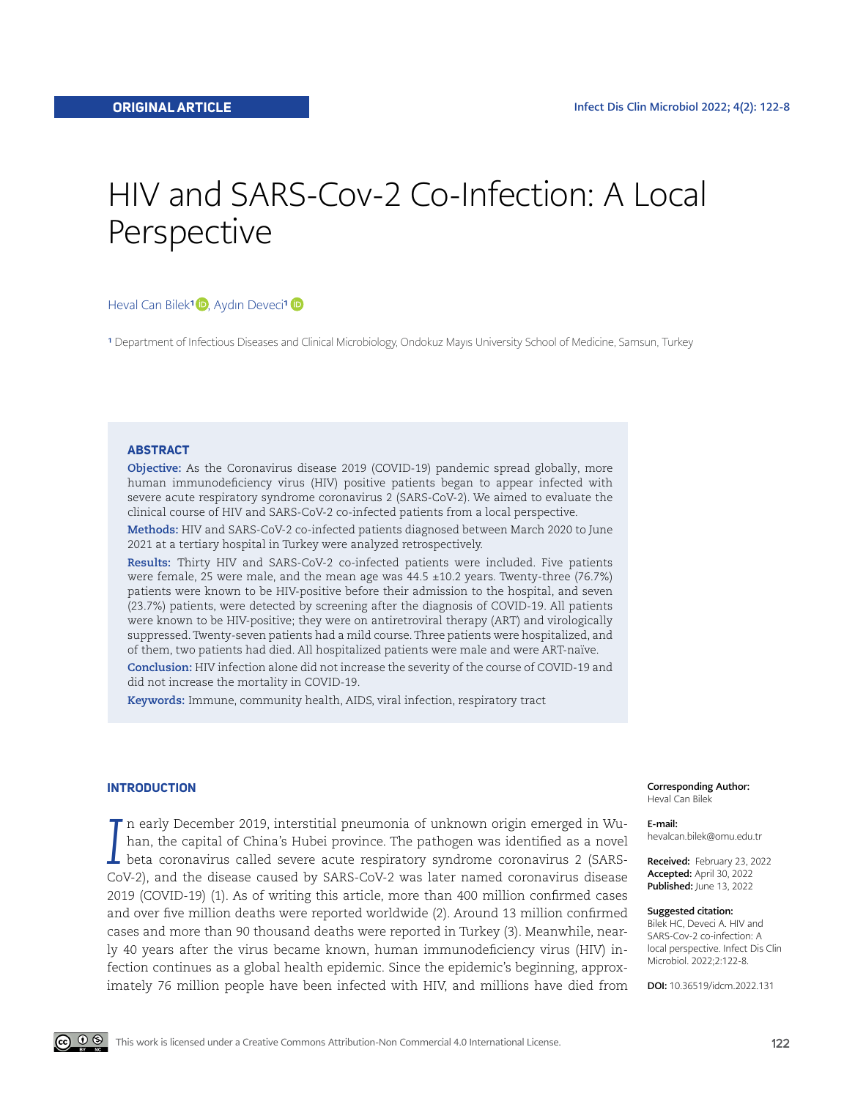# HIV and SARS-Cov-2 Co-Infection: A Local Perspective

## HevalCan Bilek<sup>1</sup><sup>D</sup>, Aydın Deveci<sup>1</sup><sup>D</sup>

<sup>1</sup> Department of Infectious Diseases and Clinical Microbiology, Ondokuz Mayıs University School of Medicine, Samsun, Turkey

#### **ABSTRACT**

**Objective:** As the Coronavirus disease 2019 (COVID-19) pandemic spread globally, more human immunodeficiency virus (HIV) positive patients began to appear infected with severe acute respiratory syndrome coronavirus 2 (SARS-CoV-2). We aimed to evaluate the clinical course of HIV and SARS-CoV-2 co-infected patients from a local perspective.

**Methods:** HIV and SARS-CoV-2 co-infected patients diagnosed between March 2020 to June 2021 at a tertiary hospital in Turkey were analyzed retrospectively.

**Results:** Thirty HIV and SARS-CoV-2 co-infected patients were included. Five patients were female, 25 were male, and the mean age was 44.5 ±10.2 years. Twenty-three (76.7%) patients were known to be HIV-positive before their admission to the hospital, and seven (23.7%) patients, were detected by screening after the diagnosis of COVID-19. All patients were known to be HIV-positive; they were on antiretroviral therapy (ART) and virologically suppressed. Twenty-seven patients had a mild course. Three patients were hospitalized, and of them, two patients had died. All hospitalized patients were male and were ART-naïve. **Conclusion:** HIV infection alone did not increase the severity of the course of COVID-19 and

did not increase the mortality in COVID-19.

**Keywords:** Immune, community health, AIDS, viral infection, respiratory tract

#### **INTRODUCTION**

*I* n early December 2019, interstitial pneumonia of unknown origin emerged in Wuhan, the capital of China's Hubei province. The pathogen was identified as a novel beta coronavirus called severe acute respiratory syndrome coronavirus 2 (SARS-CoV-2), and the disease caused by SARS-CoV-2 was later named coronavirus disease 2019 (COVID-19) (1). As of writing this article, more than 400 million confirmed cases and over five million deaths were reported worldwide (2). Around 13 million confirmed cases and more than 90 thousand deaths were reported in Turkey (3). Meanwhile, nearly 40 years after the virus became known, human immunodeficiency virus (HIV) infection continues as a global health epidemic. Since the epidemic's beginning, approximately 76 million people have been infected with HIV, and millions have died from Corresponding Author: Heval Can Bilek

E-mail: hevalcan.bilek@omu.edu.tr

Received: February 23, 2022 Accepted: April 30, 2022 Published: June 13, 2022

#### Suggested citation:

Bilek HC, Deveci A. HIV and SARS-Cov-2 co-infection: A local perspective. Infect Dis Clin Microbiol. 2022;2:122-8.

DOI: 10.36519/idcm.2022.131

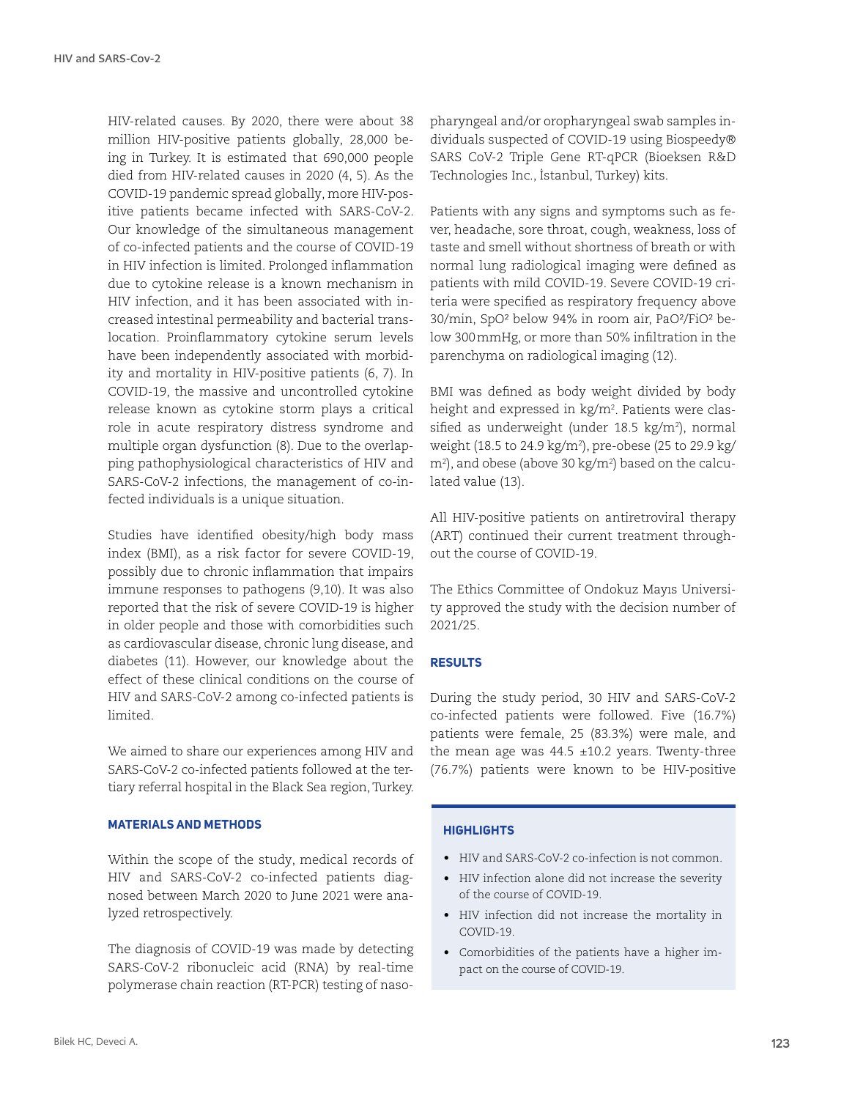HIV-related causes. By 2020, there were about 38 million HIV-positive patients globally, 28,000 being in Turkey. It is estimated that 690,000 people died from HIV-related causes in 2020 (4, 5). As the COVID-19 pandemic spread globally, more HIV-positive patients became infected with SARS-CoV-2. Our knowledge of the simultaneous management of co-infected patients and the course of COVID-19 in HIV infection is limited. Prolonged inflammation due to cytokine release is a known mechanism in HIV infection, and it has been associated with increased intestinal permeability and bacterial translocation. Proinflammatory cytokine serum levels have been independently associated with morbidity and mortality in HIV-positive patients (6, 7). In COVID-19, the massive and uncontrolled cytokine release known as cytokine storm plays a critical role in acute respiratory distress syndrome and multiple organ dysfunction (8). Due to the overlapping pathophysiological characteristics of HIV and SARS-CoV-2 infections, the management of co-infected individuals is a unique situation.

Studies have identified obesity/high body mass index (BMI), as a risk factor for severe COVID-19, possibly due to chronic inflammation that impairs immune responses to pathogens (9,10). It was also reported that the risk of severe COVID-19 is higher in older people and those with comorbidities such as cardiovascular disease, chronic lung disease, and diabetes (11). However, our knowledge about the effect of these clinical conditions on the course of HIV and SARS-CoV-2 among co-infected patients is limited.

We aimed to share our experiences among HIV and SARS-CoV-2 co-infected patients followed at the tertiary referral hospital in the Black Sea region, Turkey.

# **MATERIALS AND METHODS**

Within the scope of the study, medical records of HIV and SARS-CoV-2 co-infected patients diagnosed between March 2020 to June 2021 were analyzed retrospectively.

The diagnosis of COVID-19 was made by detecting SARS-CoV-2 ribonucleic acid (RNA) by real-time polymerase chain reaction (RT-PCR) testing of nasopharyngeal and/or oropharyngeal swab samples individuals suspected of COVID-19 using Biospeedy® SARS CoV-2 Triple Gene RT-qPCR (Bioeksen R&D Technologies Inc., İstanbul, Turkey) kits.

Patients with any signs and symptoms such as fever, headache, sore throat, cough, weakness, loss of taste and smell without shortness of breath or with normal lung radiological imaging were defined as patients with mild COVID-19. Severe COVID-19 criteria were specified as respiratory frequency above 30/min, SpO² below 94% in room air, PaO²/FiO² below 300mmHg, or more than 50% infiltration in the parenchyma on radiological imaging (12).

BMI was defined as body weight divided by body height and expressed in kg/m2 . Patients were classified as underweight (under 18.5 kg/m²), normal weight (18.5 to 24.9 kg/m2 ), pre-obese (25 to 29.9 kg/ m2 ), and obese (above 30 kg/m2 ) based on the calculated value (13).

All HIV-positive patients on antiretroviral therapy (ART) continued their current treatment throughout the course of COVID-19.

The Ethics Committee of Ondokuz Mayıs University approved the study with the decision number of 2021/25.

# **RESULTS**

During the study period, 30 HIV and SARS-CoV-2 co-infected patients were followed. Five (16.7%) patients were female, 25 (83.3%) were male, and the mean age was  $44.5 \pm 10.2$  years. Twenty-three (76.7%) patients were known to be HIV-positive

## **HIGHLIGHTS**

- HIV and SARS-CoV-2 co-infection is not common.
- HIV infection alone did not increase the severity of the course of COVID-19.
- HIV infection did not increase the mortality in COVID-19.
- Comorbidities of the patients have a higher impact on the course of COVID-19.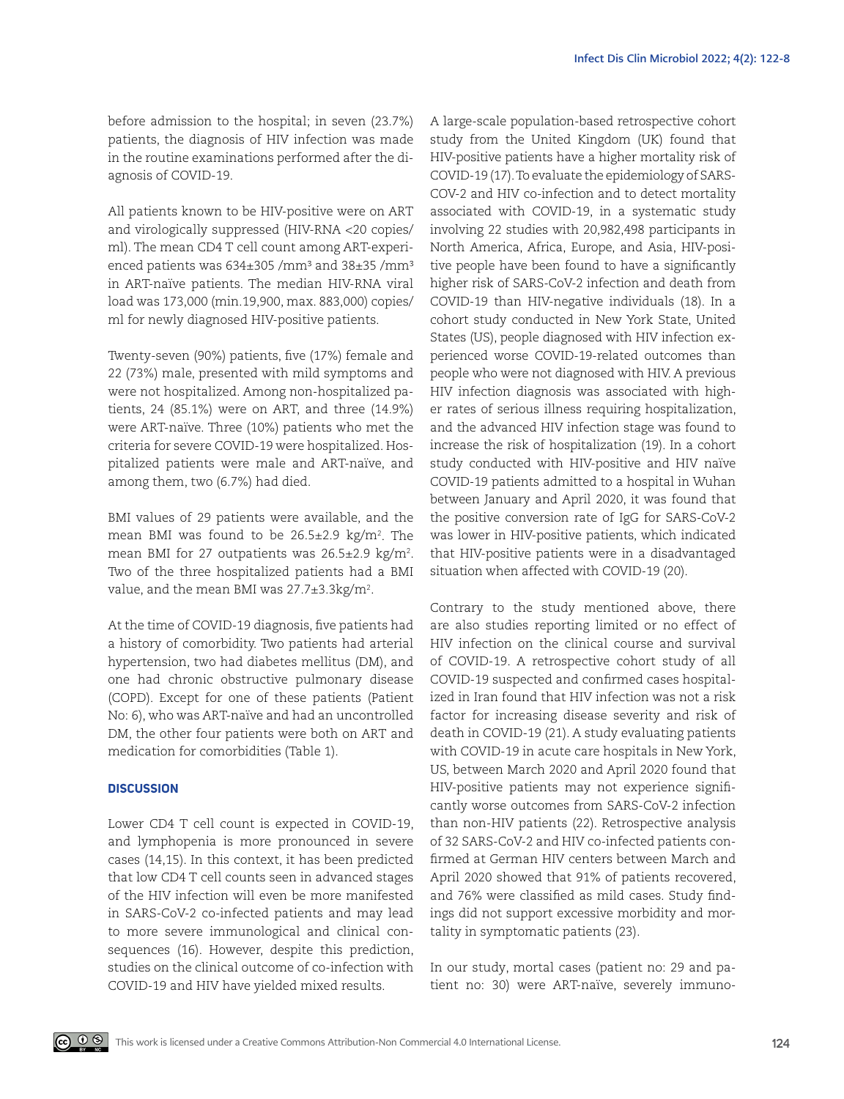before admission to the hospital; in seven (23.7%) patients, the diagnosis of HIV infection was made in the routine examinations performed after the diagnosis of COVID-19.

All patients known to be HIV-positive were on ART and virologically suppressed (HIV-RNA <20 copies/ ml). The mean CD4 T cell count among ART-experienced patients was  $634\pm305$  /mm<sup>3</sup> and  $38\pm35$  /mm<sup>3</sup> in ART-naïve patients. The median HIV-RNA viral load was 173,000 (min.19,900, max. 883,000) copies/ ml for newly diagnosed HIV-positive patients.

Twenty-seven (90%) patients, five (17%) female and 22 (73%) male, presented with mild symptoms and were not hospitalized. Among non-hospitalized patients, 24 (85.1%) were on ART, and three (14.9%) were ART-naïve. Three (10%) patients who met the criteria for severe COVID-19 were hospitalized. Hospitalized patients were male and ART-naïve, and among them, two (6.7%) had died.

BMI values of 29 patients were available, and the mean BMI was found to be 26.5 $\pm$ 2.9 kg/m². The mean BMI for 27 outpatients was 26.5 $\pm$ 2.9 kg/m². Two of the three hospitalized patients had a BMI value, and the mean BMI was 27.7±3.3kg/m².

At the time of COVID-19 diagnosis, five patients had a history of comorbidity. Two patients had arterial hypertension, two had diabetes mellitus (DM), and one had chronic obstructive pulmonary disease (COPD). Except for one of these patients (Patient No: 6), who was ART-naïve and had an uncontrolled DM, the other four patients were both on ART and medication for comorbidities (Table 1).

### **DISCUSSION**

Lower CD4 T cell count is expected in COVID-19, and lymphopenia is more pronounced in severe cases (14,15). In this context, it has been predicted that low CD4 T cell counts seen in advanced stages of the HIV infection will even be more manifested in SARS-CoV-2 co-infected patients and may lead to more severe immunological and clinical consequences (16). However, despite this prediction, studies on the clinical outcome of co-infection with COVID-19 and HIV have yielded mixed results.

A large-scale population-based retrospective cohort study from the United Kingdom (UK) found that HIV-positive patients have a higher mortality risk of COVID-19 (17). To evaluate the epidemiology of SARS-COV-2 and HIV co-infection and to detect mortality associated with COVID-19, in a systematic study involving 22 studies with 20,982,498 participants in North America, Africa, Europe, and Asia, HIV-positive people have been found to have a significantly higher risk of SARS-CoV-2 infection and death from COVID-19 than HIV-negative individuals (18). In a cohort study conducted in New York State, United States (US), people diagnosed with HIV infection experienced worse COVID-19-related outcomes than people who were not diagnosed with HIV. A previous HIV infection diagnosis was associated with higher rates of serious illness requiring hospitalization, and the advanced HIV infection stage was found to increase the risk of hospitalization (19). In a cohort study conducted with HIV-positive and HIV naïve COVID-19 patients admitted to a hospital in Wuhan between January and April 2020, it was found that the positive conversion rate of IgG for SARS-CoV-2 was lower in HIV-positive patients, which indicated that HIV-positive patients were in a disadvantaged situation when affected with COVID-19 (20).

Contrary to the study mentioned above, there are also studies reporting limited or no effect of HIV infection on the clinical course and survival of COVID-19. A retrospective cohort study of all COVID-19 suspected and confirmed cases hospitalized in Iran found that HIV infection was not a risk factor for increasing disease severity and risk of death in COVID-19 (21). A study evaluating patients with COVID-19 in acute care hospitals in New York, US, between March 2020 and April 2020 found that HIV-positive patients may not experience significantly worse outcomes from SARS-CoV-2 infection than non-HIV patients (22). Retrospective analysis of 32 SARS-CoV-2 and HIV co-infected patients confirmed at German HIV centers between March and April 2020 showed that 91% of patients recovered, and 76% were classified as mild cases. Study findings did not support excessive morbidity and mortality in symptomatic patients (23).

In our study, mortal cases (patient no: 29 and patient no: 30) were ART-naïve, severely immuno-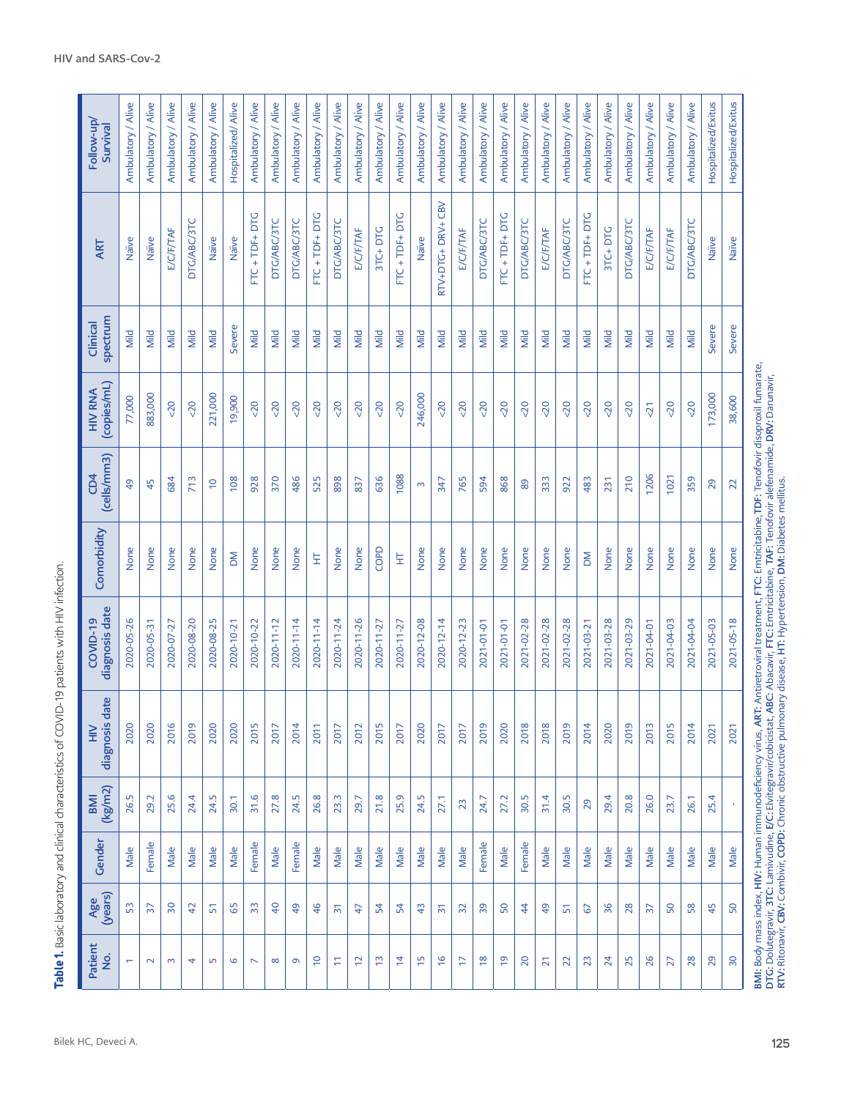Table 1. Basic laboratory and clinical characteristics of COVID-19 patients with HIV infection. **Table 1.** Basic laboratory and clinical characteristics of COVID-19 patients with HIV infection.

| 883,000<br>77,000<br>(cells/mm3)<br>$\overline{6}$<br>45<br>Comorbidity<br>None<br>None<br>diagnosis date<br>2020-05-26<br>2020-05-31<br>date<br>diagnosis<br>2020<br>2020<br>(kg/m2)<br>26.5<br>29.2<br><b>IMB</b><br>Gender<br>Female<br>Male | HIV RNA<br>(copies/mL)<br>CD4<br>COVID-19<br>$\geq$ |
|-------------------------------------------------------------------------------------------------------------------------------------------------------------------------------------------------------------------------------------------------|-----------------------------------------------------|
| 713<br>684<br>None<br>None<br>2020-08-20<br>2020-07-27<br>2016<br>2019<br>25.6<br>24.4<br>Male<br>Male                                                                                                                                          |                                                     |
| $\frac{1}{2}$<br>None<br>2020-08-25<br>2020<br>24.5<br>Male                                                                                                                                                                                     |                                                     |
| 928<br>108<br>None<br>$\geq$<br>2020-10-21<br>2020-10-22<br>2020<br><b>2015</b><br>31.6<br>30.1<br>Female<br>Male                                                                                                                               |                                                     |
| 370<br>None<br>2020-11-12<br>2017<br>27.8<br>Male                                                                                                                                                                                               |                                                     |
| 486<br>None<br>2020-11-14<br>2014<br>24.5<br>Female                                                                                                                                                                                             |                                                     |
| 525<br>Ë<br>2020-11-14<br>2011<br>26.8<br>Male                                                                                                                                                                                                  |                                                     |
| 898<br>None<br>2020-11-24<br>2017<br>23.3<br>Male                                                                                                                                                                                               |                                                     |
| 837<br>None<br>2020-11-26<br>2012<br>29.7<br>Male                                                                                                                                                                                               |                                                     |
| 636<br>COPD<br>2020-11-27<br><b>2015</b><br>21.8<br>Male                                                                                                                                                                                        |                                                     |
| 1088<br>토<br>2020-11-27<br>2017<br>25.9<br>Male                                                                                                                                                                                                 |                                                     |
| $\sim$<br>None<br>2020-12-08<br>2020<br>24.5<br>Male                                                                                                                                                                                            |                                                     |
| 347<br>None<br>2020-12-14<br>2017<br>27.1<br>Male                                                                                                                                                                                               |                                                     |
| 765<br>None<br>2020-12-23<br>2017<br>23<br>Male                                                                                                                                                                                                 |                                                     |
| None<br>2021-01-01<br>2019<br>24.7<br>Female                                                                                                                                                                                                    |                                                     |
| None<br>2021-01-01<br>2020<br>27.2<br>Male                                                                                                                                                                                                      |                                                     |
| None<br>2021-02-28<br>2018<br>30.5<br>Female                                                                                                                                                                                                    |                                                     |
| 333<br>None<br>2021-02-28<br>2018<br>31.4<br>Male                                                                                                                                                                                               |                                                     |
| None<br>2021-02-28<br>2019<br>30.5<br>Male                                                                                                                                                                                                      |                                                     |
| 483<br>$\geq$<br>2021-03-21<br>2014<br>29<br>Male                                                                                                                                                                                               |                                                     |
| 231<br>None<br>2021-03-28<br>2020<br>29.4<br>Male                                                                                                                                                                                               |                                                     |
| 210<br>None<br>2021-03-29<br>2019<br>20.8<br>Male                                                                                                                                                                                               |                                                     |
| 1206<br>None<br>2021-04-01<br>2013<br>26.0<br>Male                                                                                                                                                                                              |                                                     |
| 1021<br>None<br>2021-04-03<br><b>2015</b><br>23.7<br>Male                                                                                                                                                                                       |                                                     |
| 359<br>None<br>2021-04-04<br>2014<br>26.1<br>Male                                                                                                                                                                                               |                                                     |
| 29<br>None<br>2021-05-03<br>2021<br>25.4<br>Male                                                                                                                                                                                                |                                                     |
| None<br>2021-05-18<br>2021<br>$\mathbf{r}$<br>Male                                                                                                                                                                                              |                                                     |

BMI: Body mass index, HIV: Human immunodeficiency virus, ART: Antiretroviral treatment, FTC: Emtricitabine,TDF: Tenofovir disoproxil fumarate, DTG: Dolutegravir, 3TC: Lamivudine, E/C: Elvitegravir/cobicistat, ABC: Abacavir, FTC: Emtricitabine, TAF: Tenofovir alefenamide, DRV: Darunavir,

BMI: Body mass index, HIV: Human immunodeficiency virus, ART: Antiretroviral treatment, FTC: Emtricitabine,TDF: Tenofovir disoproxil fumarate,<br>DTG: Dolutegravir, 3TC: Lamivudine, E/C: Elvitegravir/cobicistat, ABC: Abacavir

RTV: Ritonavir, CBV: Combivir, COPD: Chronic obstructive pulmonary disease, HT: Hypertension, DM: Diabetes mellitus.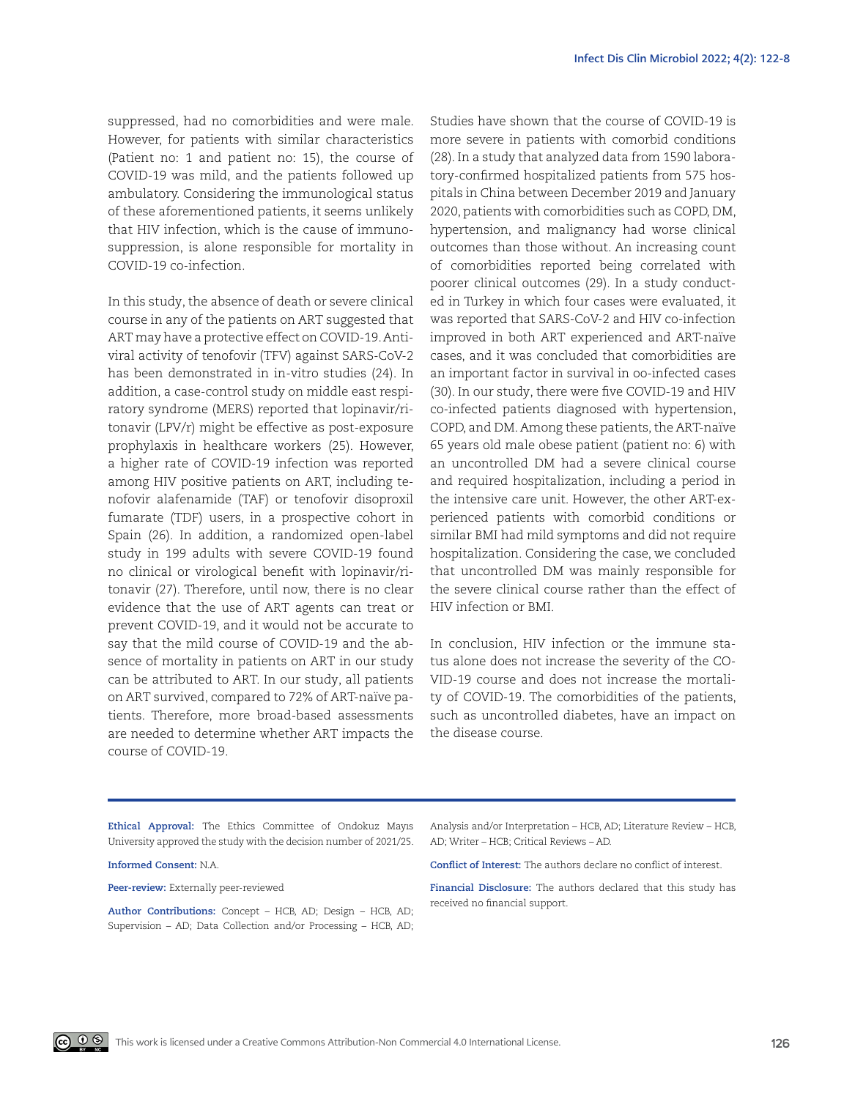suppressed, had no comorbidities and were male. However, for patients with similar characteristics (Patient no: 1 and patient no: 15), the course of COVID-19 was mild, and the patients followed up ambulatory. Considering the immunological status of these aforementioned patients, it seems unlikely that HIV infection, which is the cause of immunosuppression, is alone responsible for mortality in COVID-19 co-infection.

In this study, the absence of death or severe clinical course in any of the patients on ART suggested that ART may have a protective effect on COVID-19. Antiviral activity of tenofovir (TFV) against SARS-CoV-2 has been demonstrated in in-vitro studies (24). In addition, a case-control study on middle east respiratory syndrome (MERS) reported that lopinavir/ritonavir (LPV/r) might be effective as post-exposure prophylaxis in healthcare workers (25). However, a higher rate of COVID-19 infection was reported among HIV positive patients on ART, including tenofovir alafenamide (TAF) or tenofovir disoproxil fumarate (TDF) users, in a prospective cohort in Spain (26). In addition, a randomized open-label study in 199 adults with severe COVID-19 found no clinical or virological benefit with lopinavir/ritonavir (27). Therefore, until now, there is no clear evidence that the use of ART agents can treat or prevent COVID-19, and it would not be accurate to say that the mild course of COVID-19 and the absence of mortality in patients on ART in our study can be attributed to ART. In our study, all patients on ART survived, compared to 72% of ART-naïve patients. Therefore, more broad-based assessments are needed to determine whether ART impacts the course of COVID-19.

Studies have shown that the course of COVID-19 is more severe in patients with comorbid conditions (28). In a study that analyzed data from 1590 laboratory-confirmed hospitalized patients from 575 hospitals in China between December 2019 and January 2020, patients with comorbidities such as COPD, DM, hypertension, and malignancy had worse clinical outcomes than those without. An increasing count of comorbidities reported being correlated with poorer clinical outcomes (29). In a study conducted in Turkey in which four cases were evaluated, it was reported that SARS-CoV-2 and HIV co-infection improved in both ART experienced and ART-naïve cases, and it was concluded that comorbidities are an important factor in survival in oo-infected cases (30). In our study, there were five COVID-19 and HIV co-infected patients diagnosed with hypertension, COPD, and DM. Among these patients, the ART-naïve 65 years old male obese patient (patient no: 6) with an uncontrolled DM had a severe clinical course and required hospitalization, including a period in the intensive care unit. However, the other ART-experienced patients with comorbid conditions or similar BMI had mild symptoms and did not require hospitalization. Considering the case, we concluded that uncontrolled DM was mainly responsible for the severe clinical course rather than the effect of HIV infection or BMI.

In conclusion, HIV infection or the immune status alone does not increase the severity of the CO-VID-19 course and does not increase the mortality of COVID-19. The comorbidities of the patients, such as uncontrolled diabetes, have an impact on the disease course.

**Ethical Approval:** The Ethics Committee of Ondokuz Mayıs University approved the study with the decision number of 2021/25.

**Informed Consent:** N.A.

**Peer-review:** Externally peer-reviewed

**Author Contributions:** Concept – HCB, AD; Design – HCB, AD; Supervision – AD; Data Collection and/or Processing – HCB, AD; Analysis and/or Interpretation – HCB, AD; Literature Review – HCB, AD; Writer – HCB; Critical Reviews – AD.

**Conflict of Interest:** The authors declare no conflict of interest.

**Financial Disclosure:** The authors declared that this study has received no financial support.

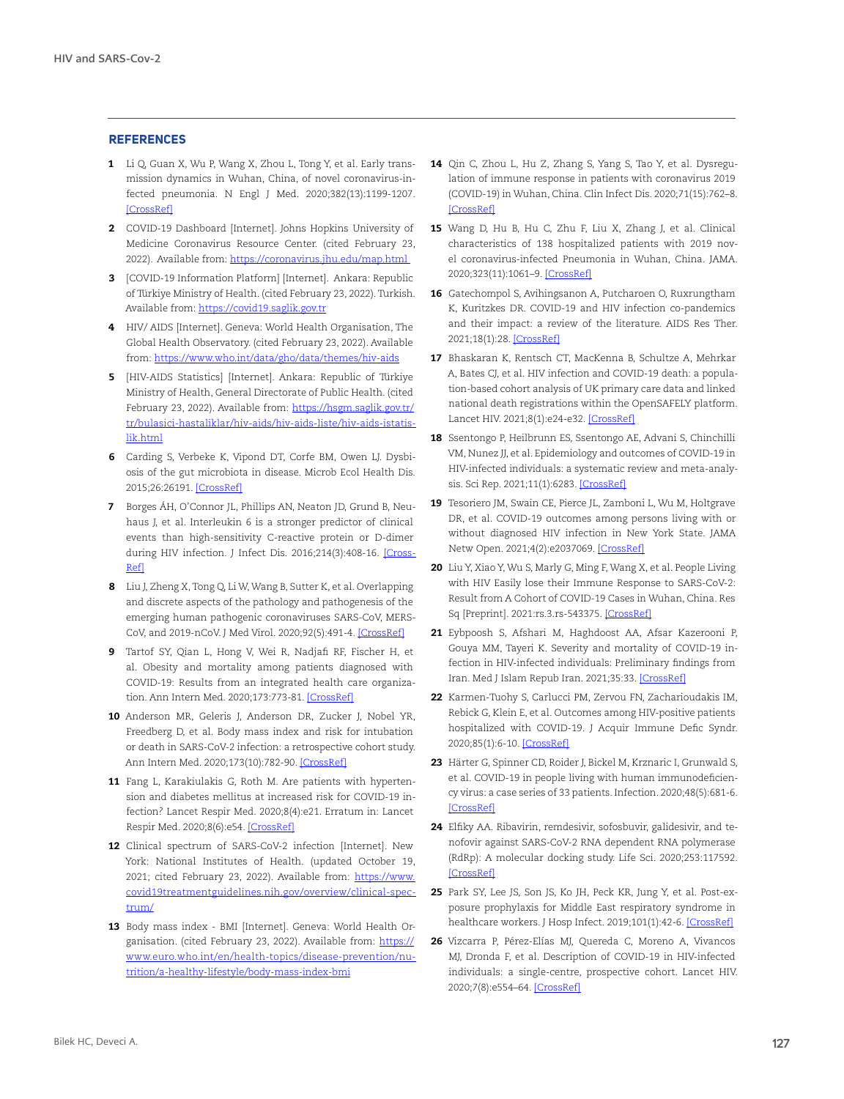## **REFERENCES**

- 1 Li Q, Guan X, Wu P, Wang X, Zhou L, Tong Y, et al. Early transmission dynamics in Wuhan, China, of novel coronavirus-infected pneumonia. N Engl J Med. 2020;382(13):1199-1207. [\[CrossRef\]](https://doi.org/10.1056/NEJMoa2001316)
- 2 COVID-19 Dashboard [Internet]. Johns Hopkins University of Medicine Coronavirus Resource Center. (cited February 23, 2022). Available from:<https://coronavirus.jhu.edu/map.html>
- 3 [COVID-19 Information Platform] [Internet]. Ankara: Republic of Türkiye Ministry of Health. (cited February 23, 2022). Turkish. Available from: [https://covid19.saglik.gov.tr](https://covid19.saglik.gov.tr/)
- 4 HIV/ AIDS [Internet]. Geneva: World Health Organisation, The Global Health Observatory. (cited February 23, 2022). Available from:<https://www.who.int/data/gho/data/themes/hiv-aids>
- 5 [HIV-AIDS Statistics] [Internet]. Ankara: Republic of Türkiye Ministry of Health, General Directorate of Public Health. (cited February 23, 2022). Available from: [https://hsgm.saglik.gov.tr/](https://hsgm.saglik.gov.tr/tr/bulasici-hastaliklar/hiv-aids/hiv-aids-liste/hiv-aids-istatislik.html) [tr/bulasici-hastaliklar/hiv-aids/hiv-aids-liste/hiv-aids-istatis](https://hsgm.saglik.gov.tr/tr/bulasici-hastaliklar/hiv-aids/hiv-aids-liste/hiv-aids-istatislik.html)[lik.html](https://hsgm.saglik.gov.tr/tr/bulasici-hastaliklar/hiv-aids/hiv-aids-liste/hiv-aids-istatislik.html)
- 6 Carding S, Verbeke K, Vipond DT, Corfe BM, Owen LJ. Dysbiosis of the gut microbiota in disease. Microb Ecol Health Dis. 2015;26:26191. [\[CrossRef\]](https://doi.org/10.3402/mehd.v26.26191)
- 7 Borges ÁH, O'Connor JL, Phillips AN, Neaton JD, Grund B, Neuhaus J, et al. Interleukin 6 is a stronger predictor of clinical events than high-sensitivity C-reactive protein or D-dimer during HIV infection. J Infect Dis. 2016;214(3):408-16. [\[Cross-](https://doi.org/10.1093/infdis/jiw173)[Ref](https://doi.org/10.1093/infdis/jiw173)]
- 8 Liu J, Zheng X, Tong Q, Li W, Wang B, Sutter K, et al. Overlapping and discrete aspects of the pathology and pathogenesis of the emerging human pathogenic coronaviruses SARS-CoV, MERS-CoV, and 2019-nCoV. J Med Virol. 2020;92(5):491-4. [[CrossRef\]](https://doi.org/10.1002/jmv.25709)
- 9 Tartof SY, Qian L, Hong V, Wei R, Nadjafi RF, Fischer H, et al. Obesity and mortality among patients diagnosed with COVID-19: Results from an integrated health care organization. Ann Intern Med. 2020;173:773-81. [[CrossRef](https://doi.org/10.7326/M20-3742)]
- 10 Anderson MR, Geleris J, Anderson DR, Zucker J, Nobel YR, Freedberg D, et al. Body mass index and risk for intubation or death in SARS-CoV-2 infection: a retrospective cohort study. Ann Intern Med. 2020;173(10):782-90. [[CrossRef](https://doi.org/10.7326/M20-3214)]
- 11 Fang L, Karakiulakis G, Roth M. Are patients with hypertension and diabetes mellitus at increased risk for COVID-19 infection? Lancet Respir Med. 2020;8(4):e21. Erratum in: Lancet Respir Med. 2020;8(6):e54. [\[CrossRef](https://doi.org/10.1016/S2213-2600(20)30116-8)]
- 12 Clinical spectrum of SARS-CoV-2 infection [Internet]. New York: National Institutes of Health. (updated October 19, 2021; cited February 23, 2022). Available from: [https://www.](https://www.covid19treatmentguidelines.nih.gov/overview/clinical-spectrum/) [covid19treatmentguidelines.nih.gov/overview/clinical-spec](https://www.covid19treatmentguidelines.nih.gov/overview/clinical-spectrum/)[trum/](https://www.covid19treatmentguidelines.nih.gov/overview/clinical-spectrum/)
- 13 Body mass index BMI [Internet]. Geneva: World Health Organisation. (cited February 23, 2022). Available from: [https://](https://www.euro.who.int/en/health-topics/disease-prevention/nutrition/a-healthy-lifestyle/body-mass-index-bmi) [www.euro.who.int/en/health-topics/disease-prevention/nu](https://www.euro.who.int/en/health-topics/disease-prevention/nutrition/a-healthy-lifestyle/body-mass-index-bmi)[trition/a-healthy-lifestyle/body-mass-index-bmi](https://www.euro.who.int/en/health-topics/disease-prevention/nutrition/a-healthy-lifestyle/body-mass-index-bmi)
- 14 Qin C, Zhou L, Hu Z, Zhang S, Yang S, Tao Y, et al. Dysregulation of immune response in patients with coronavirus 2019 (COVID-19) in Wuhan, China. Clin Infect Dis. 2020;71(15):762–8. [\[CrossRef](https://doi.org/10.1093/cid/ciaa248)]
- 15 Wang D, Hu B, Hu C, Zhu F, Liu X, Zhang J, et al. Clinical characteristics of 138 hospitalized patients with 2019 novel coronavirus-infected Pneumonia in Wuhan, China. JAMA. 2020;323(11):1061–9. [[CrossRef](https://doi.org/10.1001/jama.2020.1585)]
- 16 Gatechompol S, Avihingsanon A, Putcharoen O, Ruxrungtham K, Kuritzkes DR. COVID-19 and HIV infection co-pandemics and their impact: a review of the literature. AIDS Res Ther. 2021;18(1):28. [[CrossRef](https://doi.org/10.1186/s12981-021-00335-1)]
- 17 Bhaskaran K, Rentsch CT, MacKenna B, Schultze A, Mehrkar A, Bates CJ, et al. HIV infection and COVID-19 death: a population-based cohort analysis of UK primary care data and linked national death registrations within the OpenSAFELY platform. Lancet HIV. 2021;8(1):e24-e32. [\[CrossRef](https://doi.org/10.1016/S2352-3018(20)30305-2)]
- 18 Ssentongo P, Heilbrunn ES, Ssentongo AE, Advani S, Chinchilli VM, Nunez JJ, et al. Epidemiology and outcomes of COVID-19 in HIV-infected individuals: a systematic review and meta-analysis. Sci Rep. 2021;11(1):6283. [[CrossRef](https://doi.org/10.1038/s41598-021-85359-3)]
- 19 Tesoriero JM, Swain CE, Pierce JL, Zamboni L, Wu M, Holtgrave DR, et al. COVID-19 outcomes among persons living with or without diagnosed HIV infection in New York State. JAMA Netw Open. 2021;4(2):e2037069. [[CrossRef](https://doi.org/10.1001/jamanetworkopen.2020.37069)]
- 20 Liu Y, Xiao Y, Wu S, Marly G, Ming F, Wang X, et al. People Living with HIV Easily lose their Immune Response to SARS-CoV-2: Result from A Cohort of COVID-19 Cases in Wuhan, China. Res Sq [Preprint]. 2021:rs.3.rs-543375. [\[CrossRef](https://doi.org/10.21203/rs.3.rs-543375/v1)]
- 21 Eybpoosh S, Afshari M, Haghdoost AA, Afsar Kazerooni P, Gouya MM, Tayeri K. Severity and mortality of COVID-19 infection in HIV-infected individuals: Preliminary findings from Iran. Med J Islam Repub Iran. 2021;35:33. [[CrossRef](https://doi.org/10.47176/mjiri.35.33)]
- 22 Karmen-Tuohy S, Carlucci PM, Zervou FN, Zacharioudakis IM, Rebick G, Klein E, et al. Outcomes among HIV-positive patients hospitalized with COVID-19. J Acquir Immune Defic Syndr. 2020;85(1):6-10. [\[CrossRef\]](https://doi.org/10.1097/QAI.0000000000002423)
- 23 Härter G, Spinner CD, Roider J, Bickel M, Krznaric I, Grunwald S, et al. COVID-19 in people living with human immunodeficiency virus: a case series of 33 patients. Infection. 2020;48(5):681-6. [\[CrossRef](https://doi.org/10.1007/s15010-020-01438-z)]
- 24 Elfiky AA. Ribavirin, remdesivir, sofosbuvir, galidesivir, and tenofovir against SARS-CoV-2 RNA dependent RNA polymerase (RdRp): A molecular docking study. Life Sci. 2020;253:117592. [\[CrossRef](https://doi.org/10.1016/j.lfs.2020.117592)]
- 25 Park SY, Lee JS, Son JS, Ko JH, Peck KR, Jung Y, et al. Post-exposure prophylaxis for Middle East respiratory syndrome in healthcare workers. J Hosp Infect. 2019;101(1):42-6. [\[CrossRef](https://doi.org/10.1016/j.jhin.2018.09.005)]
- 26 Vizcarra P, Pérez-Elías MJ, Quereda C, Moreno A, Vivancos MJ, Dronda F, et al. Description of COVID-19 in HIV-infected individuals: a single-centre, prospective cohort. Lancet HIV. 2020;7(8):e554–64. [[CrossRef](https://doi.org/10.1016/S2352-3018(20)30164-8)]